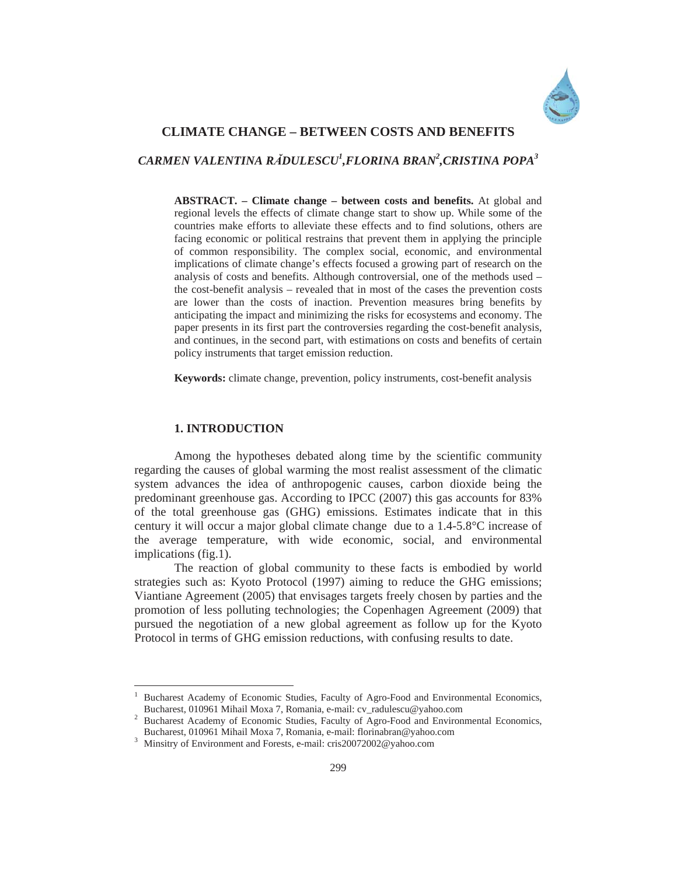

## **CLIMATE CHANGE – BETWEEN COSTS AND BENEFITS**

# *CARMEN VALENTINA RĂDULESCU<sup>1</sup> ,FLORINA BRAN<sup>2</sup> ,CRISTINA POPA<sup>3</sup>*

**ABSTRACT. – Climate change – between costs and benefits.** At global and regional levels the effects of climate change start to show up. While some of the countries make efforts to alleviate these effects and to find solutions, others are facing economic or political restrains that prevent them in applying the principle of common responsibility. The complex social, economic, and environmental implications of climate change's effects focused a growing part of research on the analysis of costs and benefits. Although controversial, one of the methods used – the cost-benefit analysis – revealed that in most of the cases the prevention costs are lower than the costs of inaction. Prevention measures bring benefits by anticipating the impact and minimizing the risks for ecosystems and economy. The paper presents in its first part the controversies regarding the cost-benefit analysis, and continues, in the second part, with estimations on costs and benefits of certain policy instruments that target emission reduction.

**Keywords:** climate change, prevention, policy instruments, cost-benefit analysis

#### **1. INTRODUCTION**

 $\overline{a}$ 

Among the hypotheses debated along time by the scientific community regarding the causes of global warming the most realist assessment of the climatic system advances the idea of anthropogenic causes, carbon dioxide being the predominant greenhouse gas. According to IPCC (2007) this gas accounts for 83% of the total greenhouse gas (GHG) emissions. Estimates indicate that in this century it will occur a major global climate change due to a 1.4-5.8°C increase of the average temperature, with wide economic, social, and environmental implications (fig.1).

The reaction of global community to these facts is embodied by world strategies such as: Kyoto Protocol (1997) aiming to reduce the GHG emissions; Viantiane Agreement (2005) that envisages targets freely chosen by parties and the promotion of less polluting technologies; the Copenhagen Agreement (2009) that pursued the negotiation of a new global agreement as follow up for the Kyoto Protocol in terms of GHG emission reductions, with confusing results to date.

<sup>1</sup> Bucharest Academy of Economic Studies, Faculty of Agro-Food and Environmental Economics, Bucharest, 010961 Mihail Moxa 7, Romania, e-mail: cv\_radulescu@yahoo.com 2

<sup>&</sup>lt;sup>2</sup> Bucharest Academy of Economic Studies, Faculty of Agro-Food and Environmental Economics, Bucharest, 010961 Mihail Moxa 7, Romania, e-mail: florinabran@yahoo.com 3

<sup>&</sup>lt;sup>3</sup> Minsitry of Environment and Forests, e-mail: cris20072002@yahoo.com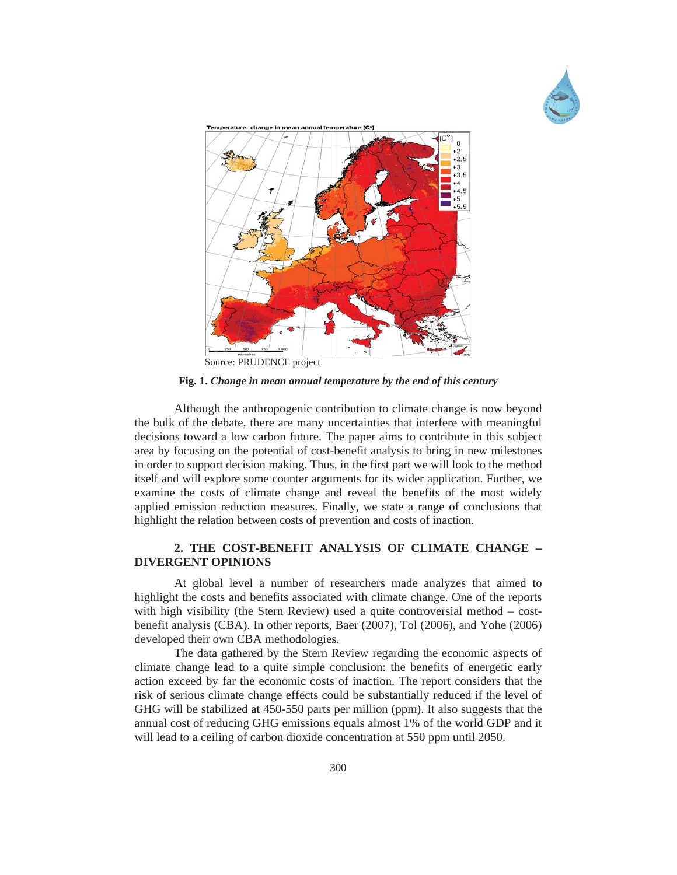



**Fig. 1.** *Change in mean annual temperature by the end of this century*

Although the anthropogenic contribution to climate change is now beyond the bulk of the debate, there are many uncertainties that interfere with meaningful decisions toward a low carbon future. The paper aims to contribute in this subject area by focusing on the potential of cost-benefit analysis to bring in new milestones in order to support decision making. Thus, in the first part we will look to the method itself and will explore some counter arguments for its wider application. Further, we examine the costs of climate change and reveal the benefits of the most widely applied emission reduction measures. Finally, we state a range of conclusions that highlight the relation between costs of prevention and costs of inaction.

## **2. THE COST-BENEFIT ANALYSIS OF CLIMATE CHANGE – DIVERGENT OPINIONS**

At global level a number of researchers made analyzes that aimed to highlight the costs and benefits associated with climate change. One of the reports with high visibility (the Stern Review) used a quite controversial method – costbenefit analysis (CBA). In other reports, Baer (2007), Tol (2006), and Yohe (2006) developed their own CBA methodologies.

The data gathered by the Stern Review regarding the economic aspects of climate change lead to a quite simple conclusion: the benefits of energetic early action exceed by far the economic costs of inaction. The report considers that the risk of serious climate change effects could be substantially reduced if the level of GHG will be stabilized at 450-550 parts per million (ppm). It also suggests that the annual cost of reducing GHG emissions equals almost 1% of the world GDP and it will lead to a ceiling of carbon dioxide concentration at 550 ppm until 2050.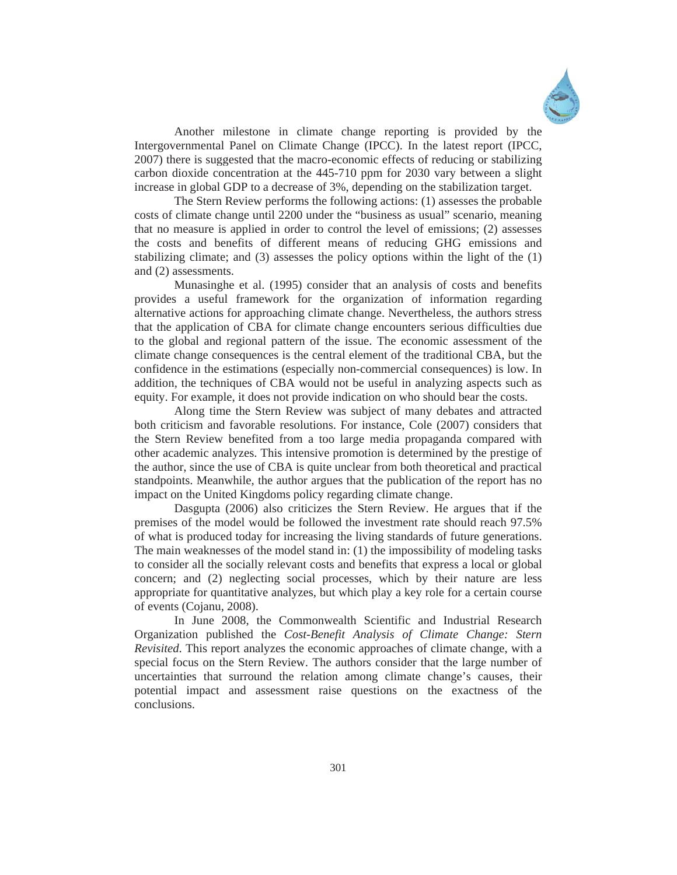

Another milestone in climate change reporting is provided by the Intergovernmental Panel on Climate Change (IPCC). In the latest report (IPCC, 2007) there is suggested that the macro-economic effects of reducing or stabilizing carbon dioxide concentration at the 445-710 ppm for 2030 vary between a slight increase in global GDP to a decrease of 3%, depending on the stabilization target.

The Stern Review performs the following actions: (1) assesses the probable costs of climate change until 2200 under the "business as usual" scenario, meaning that no measure is applied in order to control the level of emissions; (2) assesses the costs and benefits of different means of reducing GHG emissions and stabilizing climate; and (3) assesses the policy options within the light of the (1) and (2) assessments.

Munasinghe et al. (1995) consider that an analysis of costs and benefits provides a useful framework for the organization of information regarding alternative actions for approaching climate change. Nevertheless, the authors stress that the application of CBA for climate change encounters serious difficulties due to the global and regional pattern of the issue. The economic assessment of the climate change consequences is the central element of the traditional CBA, but the confidence in the estimations (especially non-commercial consequences) is low. In addition, the techniques of CBA would not be useful in analyzing aspects such as equity. For example, it does not provide indication on who should bear the costs.

Along time the Stern Review was subject of many debates and attracted both criticism and favorable resolutions. For instance, Cole (2007) considers that the Stern Review benefited from a too large media propaganda compared with other academic analyzes. This intensive promotion is determined by the prestige of the author, since the use of CBA is quite unclear from both theoretical and practical standpoints. Meanwhile, the author argues that the publication of the report has no impact on the United Kingdoms policy regarding climate change.

Dasgupta (2006) also criticizes the Stern Review. He argues that if the premises of the model would be followed the investment rate should reach 97.5% of what is produced today for increasing the living standards of future generations. The main weaknesses of the model stand in: (1) the impossibility of modeling tasks to consider all the socially relevant costs and benefits that express a local or global concern; and (2) neglecting social processes, which by their nature are less appropriate for quantitative analyzes, but which play a key role for a certain course of events (Cojanu, 2008).

In June 2008, the Commonwealth Scientific and Industrial Research Organization published the *Cost-Benefit Analysis of Climate Change: Stern Revisited*. This report analyzes the economic approaches of climate change, with a special focus on the Stern Review. The authors consider that the large number of uncertainties that surround the relation among climate change's causes, their potential impact and assessment raise questions on the exactness of the conclusions.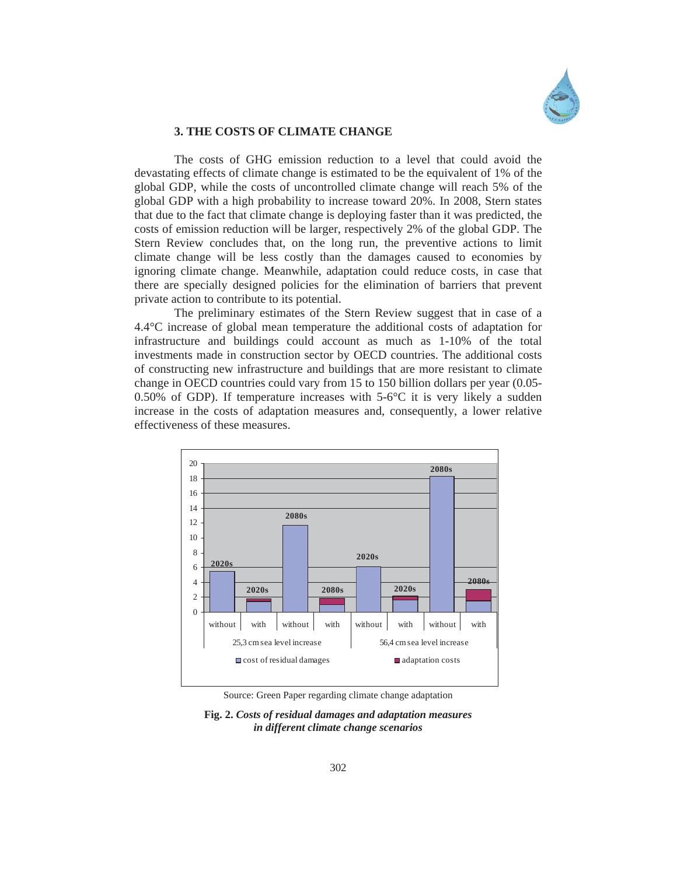

#### **3. THE COSTS OF CLIMATE CHANGE**

The costs of GHG emission reduction to a level that could avoid the devastating effects of climate change is estimated to be the equivalent of 1% of the global GDP, while the costs of uncontrolled climate change will reach 5% of the global GDP with a high probability to increase toward 20%. In 2008, Stern states that due to the fact that climate change is deploying faster than it was predicted, the costs of emission reduction will be larger, respectively 2% of the global GDP. The Stern Review concludes that, on the long run, the preventive actions to limit climate change will be less costly than the damages caused to economies by ignoring climate change. Meanwhile, adaptation could reduce costs, in case that there are specially designed policies for the elimination of barriers that prevent private action to contribute to its potential.

The preliminary estimates of the Stern Review suggest that in case of a 4.4°C increase of global mean temperature the additional costs of adaptation for infrastructure and buildings could account as much as 1-10% of the total investments made in construction sector by OECD countries. The additional costs of constructing new infrastructure and buildings that are more resistant to climate change in OECD countries could vary from 15 to 150 billion dollars per year (0.05- 0.50% of GDP). If temperature increases with  $5\n-6$ °C it is very likely a sudden increase in the costs of adaptation measures and, consequently, a lower relative effectiveness of these measures.



Source: Green Paper regarding climate change adaptation

**Fig. 2.** *Costs of residual damages and adaptation measures in different climate change scenarios*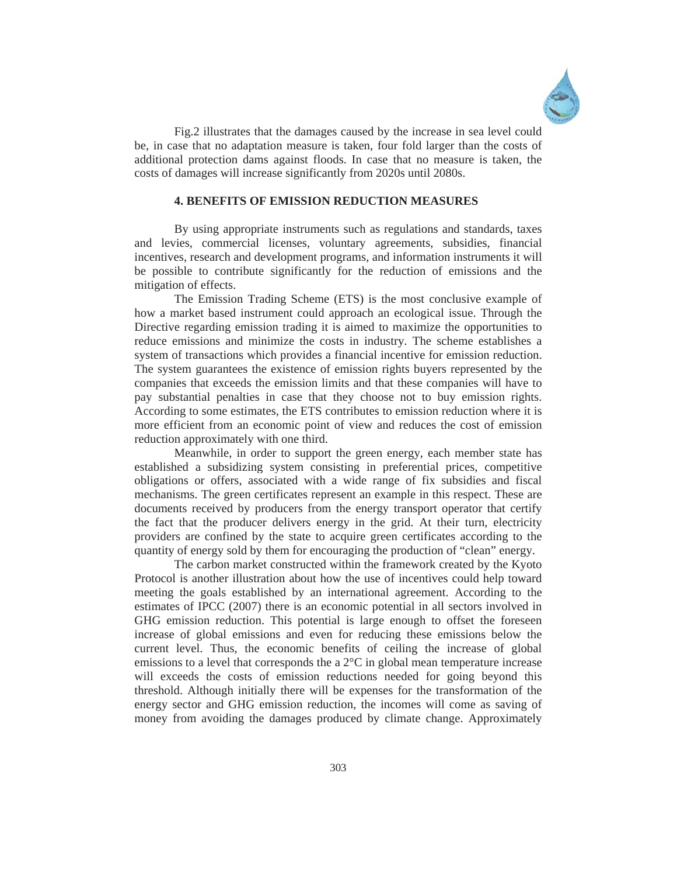

Fig.2 illustrates that the damages caused by the increase in sea level could be, in case that no adaptation measure is taken, four fold larger than the costs of additional protection dams against floods. In case that no measure is taken, the costs of damages will increase significantly from 2020s until 2080s.

### **4. BENEFITS OF EMISSION REDUCTION MEASURES**

By using appropriate instruments such as regulations and standards, taxes and levies, commercial licenses, voluntary agreements, subsidies, financial incentives, research and development programs, and information instruments it will be possible to contribute significantly for the reduction of emissions and the mitigation of effects.

The Emission Trading Scheme (ETS) is the most conclusive example of how a market based instrument could approach an ecological issue. Through the Directive regarding emission trading it is aimed to maximize the opportunities to reduce emissions and minimize the costs in industry. The scheme establishes a system of transactions which provides a financial incentive for emission reduction. The system guarantees the existence of emission rights buyers represented by the companies that exceeds the emission limits and that these companies will have to pay substantial penalties in case that they choose not to buy emission rights. According to some estimates, the ETS contributes to emission reduction where it is more efficient from an economic point of view and reduces the cost of emission reduction approximately with one third.

Meanwhile, in order to support the green energy, each member state has established a subsidizing system consisting in preferential prices, competitive obligations or offers, associated with a wide range of fix subsidies and fiscal mechanisms. The green certificates represent an example in this respect. These are documents received by producers from the energy transport operator that certify the fact that the producer delivers energy in the grid. At their turn, electricity providers are confined by the state to acquire green certificates according to the quantity of energy sold by them for encouraging the production of "clean" energy.

The carbon market constructed within the framework created by the Kyoto Protocol is another illustration about how the use of incentives could help toward meeting the goals established by an international agreement. According to the estimates of IPCC (2007) there is an economic potential in all sectors involved in GHG emission reduction. This potential is large enough to offset the foreseen increase of global emissions and even for reducing these emissions below the current level. Thus, the economic benefits of ceiling the increase of global emissions to a level that corresponds the a 2°C in global mean temperature increase will exceeds the costs of emission reductions needed for going beyond this threshold. Although initially there will be expenses for the transformation of the energy sector and GHG emission reduction, the incomes will come as saving of money from avoiding the damages produced by climate change. Approximately